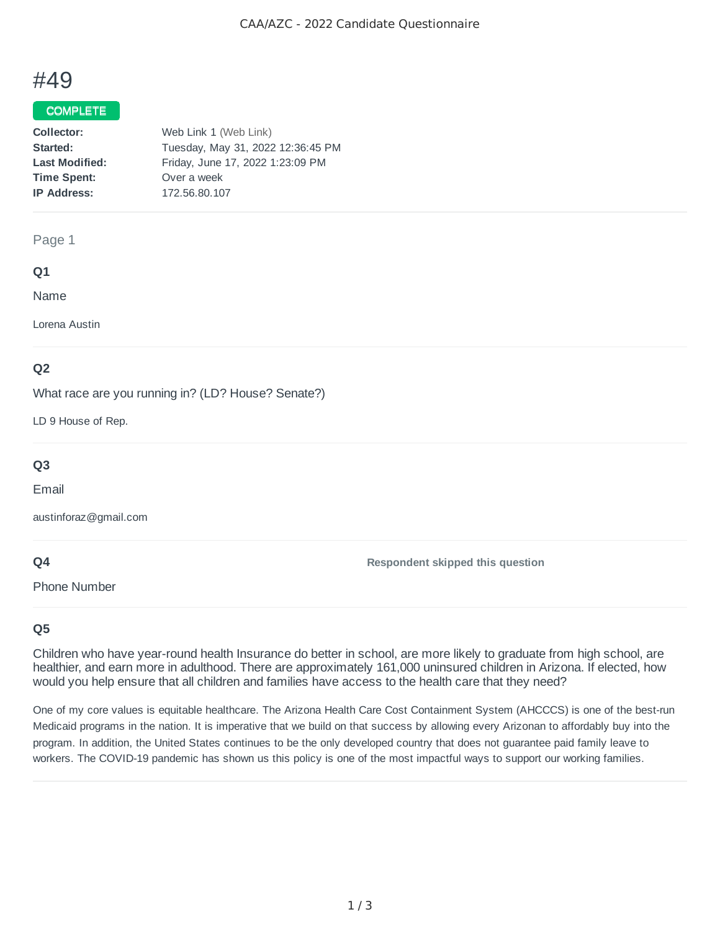# #49

#### COMPLETE

| Collector:            | Web Link 1 (Web Link)             |
|-----------------------|-----------------------------------|
| Started:              | Tuesday, May 31, 2022 12:36:45 PM |
| <b>Last Modified:</b> | Friday, June 17, 2022 1:23:09 PM  |
| <b>Time Spent:</b>    | Over a week                       |
| <b>IP Address:</b>    | 172.56.80.107                     |
|                       |                                   |

#### Page 1

#### **Q1**

Name

Lorena Austin

## **Q2**

What race are you running in? (LD? House? Senate?)

LD 9 House of Rep.

## **Q3**

Email

austinforaz@gmail.com

## **Q4**

Phone Number

**Respondent skipped this question**

## **Q5**

Children who have year-round health Insurance do better in school, are more likely to graduate from high school, are healthier, and earn more in adulthood. There are approximately 161,000 uninsured children in Arizona. If elected, how would you help ensure that all children and families have access to the health care that they need?

One of my core values is equitable healthcare. The Arizona Health Care Cost Containment System (AHCCCS) is one of the best-run Medicaid programs in the nation. It is imperative that we build on that success by allowing every Arizonan to affordably buy into the program. In addition, the United States continues to be the only developed country that does not guarantee paid family leave to workers. The COVID-19 pandemic has shown us this policy is one of the most impactful ways to support our working families.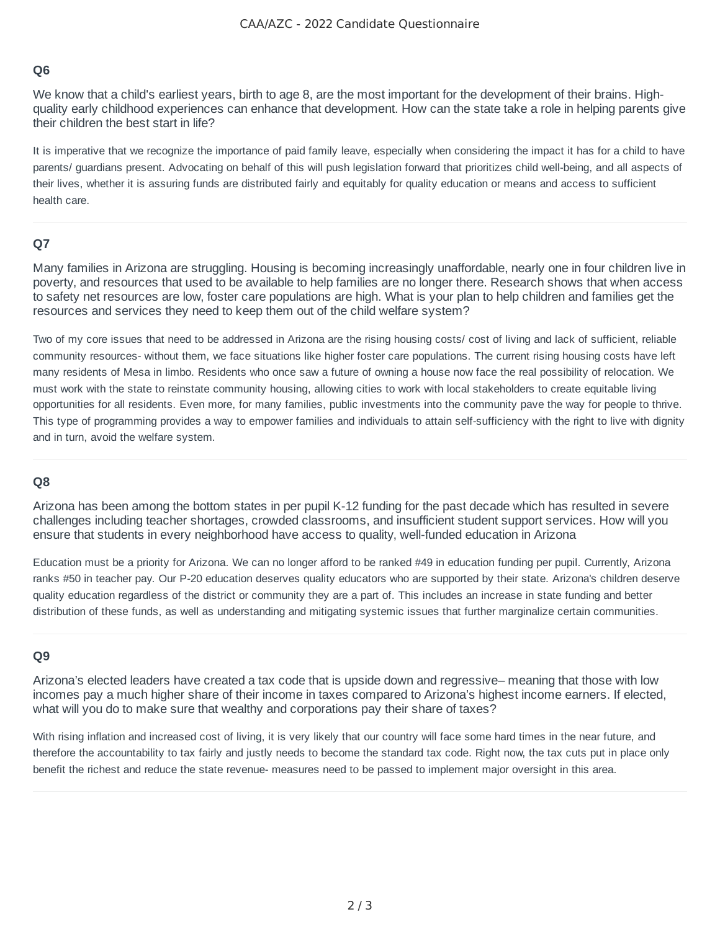#### **Q6**

We know that a child's earliest years, birth to age 8, are the most important for the development of their brains. Highquality early childhood experiences can enhance that development. How can the state take a role in helping parents give their children the best start in life?

It is imperative that we recognize the importance of paid family leave, especially when considering the impact it has for a child to have parents/ guardians present. Advocating on behalf of this will push legislation forward that prioritizes child well-being, and all aspects of their lives, whether it is assuring funds are distributed fairly and equitably for quality education or means and access to sufficient health care.

#### **Q7**

Many families in Arizona are struggling. Housing is becoming increasingly unaffordable, nearly one in four children live in poverty, and resources that used to be available to help families are no longer there. Research shows that when access to safety net resources are low, foster care populations are high. What is your plan to help children and families get the resources and services they need to keep them out of the child welfare system?

Two of my core issues that need to be addressed in Arizona are the rising housing costs/ cost of living and lack of sufficient, reliable community resources- without them, we face situations like higher foster care populations. The current rising housing costs have left many residents of Mesa in limbo. Residents who once saw a future of owning a house now face the real possibility of relocation. We must work with the state to reinstate community housing, allowing cities to work with local stakeholders to create equitable living opportunities for all residents. Even more, for many families, public investments into the community pave the way for people to thrive. This type of programming provides a way to empower families and individuals to attain self-sufficiency with the right to live with dignity and in turn, avoid the welfare system.

## **Q8**

Arizona has been among the bottom states in per pupil K-12 funding for the past decade which has resulted in severe challenges including teacher shortages, crowded classrooms, and insufficient student support services. How will you ensure that students in every neighborhood have access to quality, well-funded education in Arizona

Education must be a priority for Arizona. We can no longer afford to be ranked #49 in education funding per pupil. Currently, Arizona ranks #50 in teacher pay. Our P-20 education deserves quality educators who are supported by their state. Arizona's children deserve quality education regardless of the district or community they are a part of. This includes an increase in state funding and better distribution of these funds, as well as understanding and mitigating systemic issues that further marginalize certain communities.

#### **Q9**

Arizona's elected leaders have created a tax code that is upside down and regressive– meaning that those with low incomes pay a much higher share of their income in taxes compared to Arizona's highest income earners. If elected, what will you do to make sure that wealthy and corporations pay their share of taxes?

With rising inflation and increased cost of living, it is very likely that our country will face some hard times in the near future, and therefore the accountability to tax fairly and justly needs to become the standard tax code. Right now, the tax cuts put in place only benefit the richest and reduce the state revenue- measures need to be passed to implement major oversight in this area.